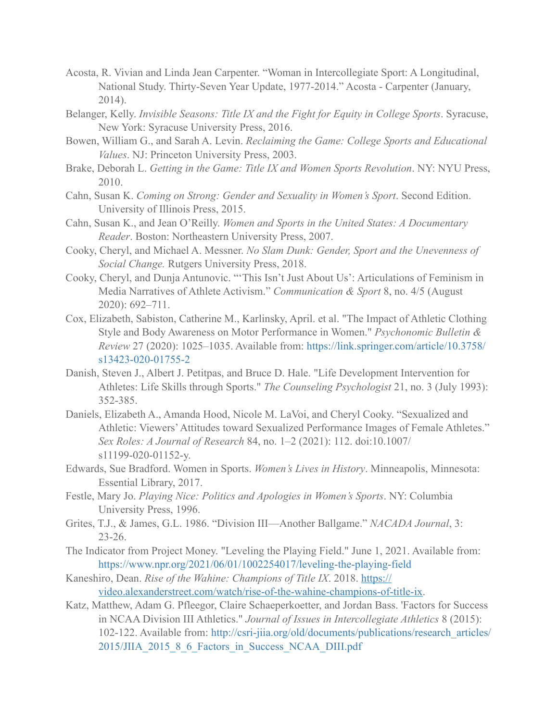- Acosta, R. Vivian and Linda Jean Carpenter. "Woman in Intercollegiate Sport: A Longitudinal, National Study. Thirty-Seven Year Update, 1977-2014." Acosta - Carpenter (January, 2014).
- Belanger, Kelly. *Invisible Seasons: Title IX and the Fight for Equity in College Sports*. Syracuse, New York: Syracuse University Press, 2016.
- Bowen, William G., and Sarah A. Levin. *Reclaiming the Game: College Sports and Educational Values*. NJ: Princeton University Press, 2003.
- Brake, Deborah L. *Getting in the Game: Title IX and Women Sports Revolution*. NY: NYU Press, 2010.
- Cahn, Susan K. *Coming on Strong: Gender and Sexuality in Women's Sport*. Second Edition. University of Illinois Press, 2015.
- Cahn, Susan K., and Jean O'Reilly. *Women and Sports in the United States: A Documentary Reader*. Boston: Northeastern University Press, 2007.
- Cooky, Cheryl, and Michael A. Messner. *No Slam Dunk: Gender, Sport and the Unevenness of Social Change.* Rutgers University Press, 2018.
- Cooky, Cheryl, and Dunja Antunovic. "'This Isn't Just About Us': Articulations of Feminism in Media Narratives of Athlete Activism." *Communication & Sport* 8, no. 4/5 (August 2020): 692–711.
- Cox, Elizabeth, Sabiston, Catherine M., Karlinsky, April. et al. "The Impact of Athletic Clothing Style and Body Awareness on Motor Performance in Women." *Psychonomic Bulletin & Review* 27 (2020): 1025–1035. Available from: [https://link.springer.com/article/10.3758/](https://link.springer.com/article/10.3758/s13423-020-01755-2) [s13423-020-01755-2](https://link.springer.com/article/10.3758/s13423-020-01755-2)
- Danish, Steven J., Albert J. Petitpas, and Bruce D. Hale. "Life Development Intervention for Athletes: Life Skills through Sports." *The Counseling Psychologist* 21, no. 3 (July 1993): 352-385.
- Daniels, Elizabeth A., Amanda Hood, Nicole M. LaVoi, and Cheryl Cooky. "Sexualized and Athletic: Viewers' Attitudes toward Sexualized Performance Images of Female Athletes." *Sex Roles: A Journal of Research* 84, no. 1–2 (2021): 112. doi:10.1007/ s11199-020-01152-y.
- Edwards, Sue Bradford. Women in Sports. *Women's Lives in History*. Minneapolis, Minnesota: Essential Library, 2017.
- Festle, Mary Jo. *Playing Nice: Politics and Apologies in Women's Sports*. NY: Columbia University Press, 1996.
- Grites, T.J., & James, G.L. 1986. "Division III—Another Ballgame." *NACADA Journal*, 3: 23-26.
- The Indicator from Project Money. "Leveling the Playing Field." June 1, 2021. Available from: <https://www.npr.org/2021/06/01/1002254017/leveling-the-playing-field>
- Kaneshiro, Dean. *Rise of the Wahine: Champions of Title IX*. 2018. [https://](https://video.alexanderstreet.com/watch/rise-of-the-wahine-champions-of-title-ix) [video.alexanderstreet.com/watch/rise-of-the-wahine-champions-of-title-ix.](https://video.alexanderstreet.com/watch/rise-of-the-wahine-champions-of-title-ix)
- Katz, Matthew, Adam G. Pfleegor, Claire Schaeperkoetter, and Jordan Bass. 'Factors for Success in NCAA Division III Athletics." *Journal of Issues in Intercollegiate Athletics* 8 (2015): 102-122. Available from: [http://csri-jiia.org/old/documents/publications/research\\_articles/](http://csri-jiia.org/old/documents/publications/research_articles/2015/JIIA_2015_8_6_Factors_in_Success_NCAA_DIII.pdf) [2015/JIIA\\_2015\\_8\\_6\\_Factors\\_in\\_Success\\_NCAA\\_DIII.pdf](http://csri-jiia.org/old/documents/publications/research_articles/2015/JIIA_2015_8_6_Factors_in_Success_NCAA_DIII.pdf)